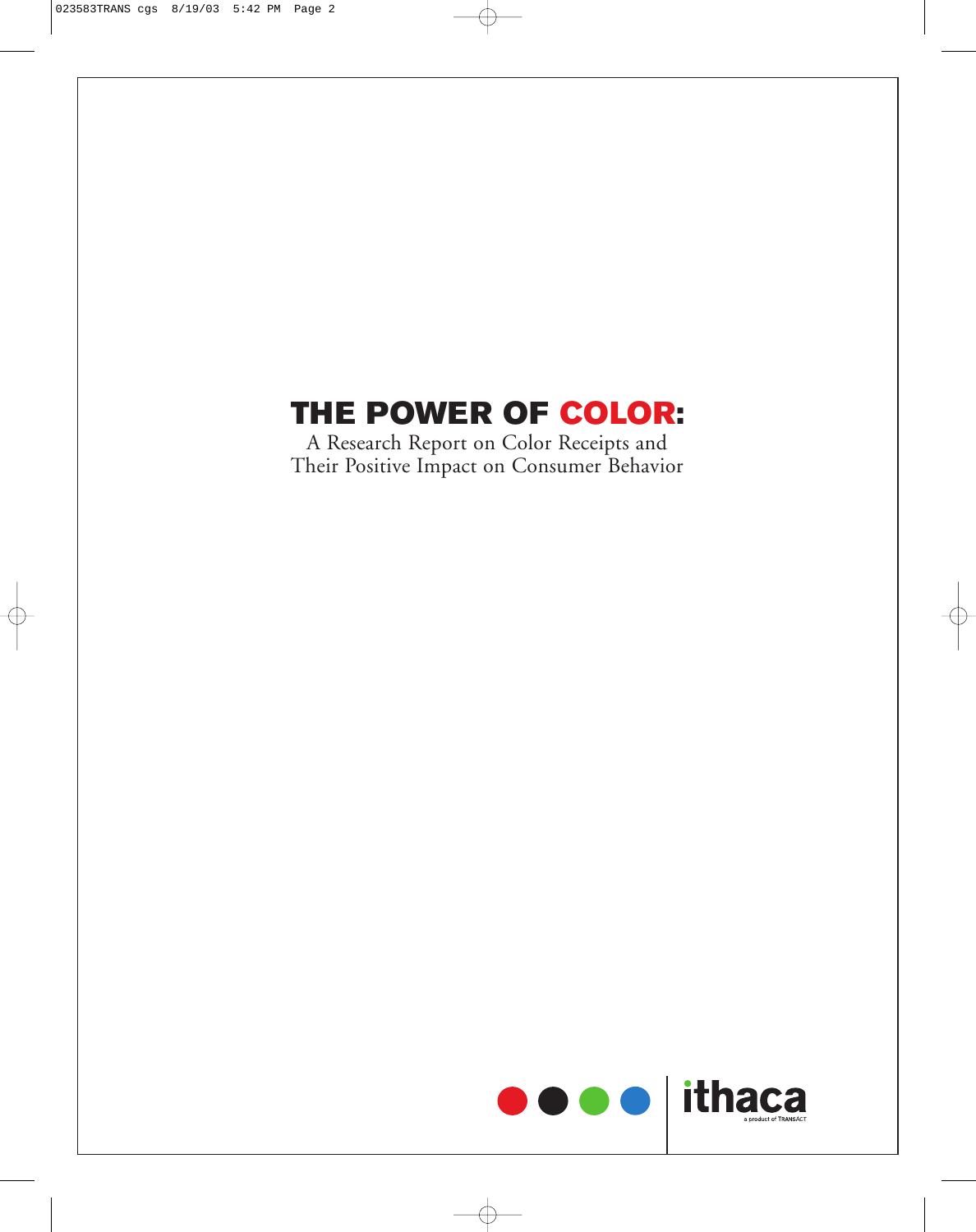# **THE POWER OF COLOR:**

A Research Report on Color Receipts and Their Positive Impact on Consumer Behavior

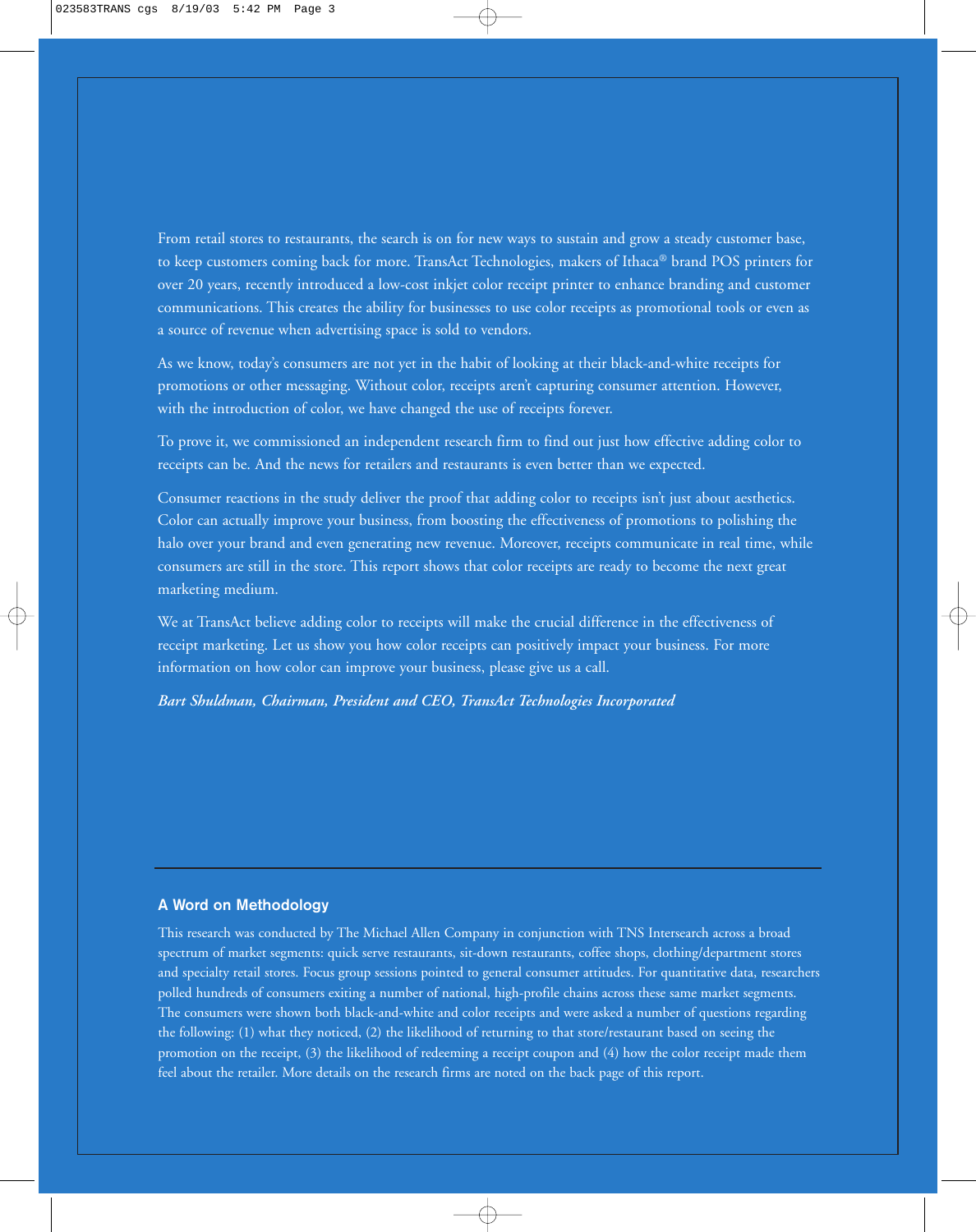From retail stores to restaurants, the search is on for new ways to sustain and grow a steady customer base, to keep customers coming back for more. TransAct Technologies, makers of Ithaca® brand POS printers for over 20 years, recently introduced a low-cost inkjet color receipt printer to enhance branding and customer communications. This creates the ability for businesses to use color receipts as promotional tools or even as a source of revenue when advertising space is sold to vendors.

As we know, today's consumers are not yet in the habit of looking at their black-and-white receipts for promotions or other messaging. Without color, receipts aren't capturing consumer attention. However, with the introduction of color, we have changed the use of receipts forever.

To prove it, we commissioned an independent research firm to find out just how effective adding color to receipts can be. And the news for retailers and restaurants is even better than we expected.

Consumer reactions in the study deliver the proof that adding color to receipts isn't just about aesthetics. Color can actually improve your business, from boosting the effectiveness of promotions to polishing the halo over your brand and even generating new revenue. Moreover, receipts communicate in real time, while consumers are still in the store. This report shows that color receipts are ready to become the next great marketing medium.

We at TransAct believe adding color to receipts will make the crucial difference in the effectiveness of receipt marketing. Let us show you how color receipts can positively impact your business. For more information on how color can improve your business, please give us a call.

*Bart Shuldman, Chairman, President and CEO, TransAct Technologies Incorporated*

## **A Word on Methodology**

This research was conducted by The Michael Allen Company in conjunction with TNS Intersearch across a broad spectrum of market segments: quick serve restaurants, sit-down restaurants, coffee shops, clothing/department stores and specialty retail stores. Focus group sessions pointed to general consumer attitudes. For quantitative data, researchers polled hundreds of consumers exiting a number of national, high-profile chains across these same market segments. The consumers were shown both black-and-white and color receipts and were asked a number of questions regarding the following: (1) what they noticed, (2) the likelihood of returning to that store/restaurant based on seeing the promotion on the receipt, (3) the likelihood of redeeming a receipt coupon and (4) how the color receipt made them feel about the retailer. More details on the research firms are noted on the back page of this report.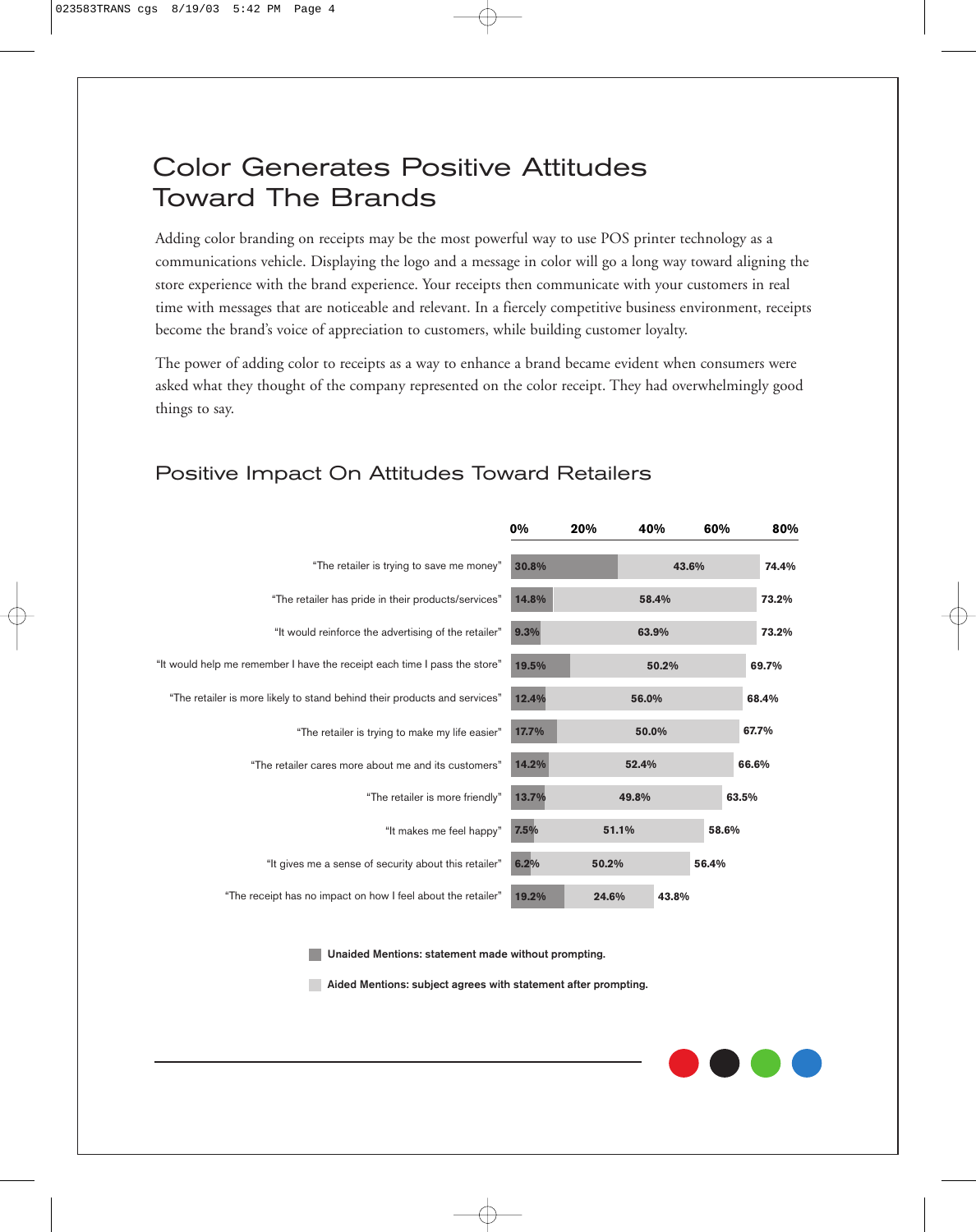# Color Generates Positive Attitudes Toward The Brands

Adding color branding on receipts may be the most powerful way to use POS printer technology as a communications vehicle. Displaying the logo and a message in color will go a long way toward aligning the store experience with the brand experience. Your receipts then communicate with your customers in real time with messages that are noticeable and relevant. In a fiercely competitive business environment, receipts become the brand's voice of appreciation to customers, while building customer loyalty.

The power of adding color to receipts as a way to enhance a brand became evident when consumers were asked what they thought of the company represented on the color receipt. They had overwhelmingly good things to say.

#### **0% 20% 40% 60% 80% 30.8% 14.8% 9.3% 19.5% 12.4% 17.7% 14.2% 13.7% 7.5% 6.2% 19.2% 58.4% 63.9% 50.2% 56.0% 50.0% 52.4% 49.8% 51.1% 50.2% 24.6% 73.2% 73.2% 69.7% 68.4% 67.7% 66.6% 63.5% 58.6% 56.4% 43.8% 43.6% 74.4%** "The retailer is trying to save me money" "The retailer has pride in their products/services" "It would reinforce the advertising of the retailer" "It would help me remember I have the receipt each time I pass the store" "The retailer is more friendly" "The retailer is more likely to stand behind their products and services" "The retailer is trying to make my life easier" "The retailer cares more about me and its customers" "It makes me feel happy" "It gives me a sense of security about this retailer" "The receipt has no impact on how I feel about the retailer"

## Positive Impact On Attitudes Toward Retailers

**Unaided Mentions: statement made without prompting.** 

**Aided Mentions: subject agrees with statement after prompting.**

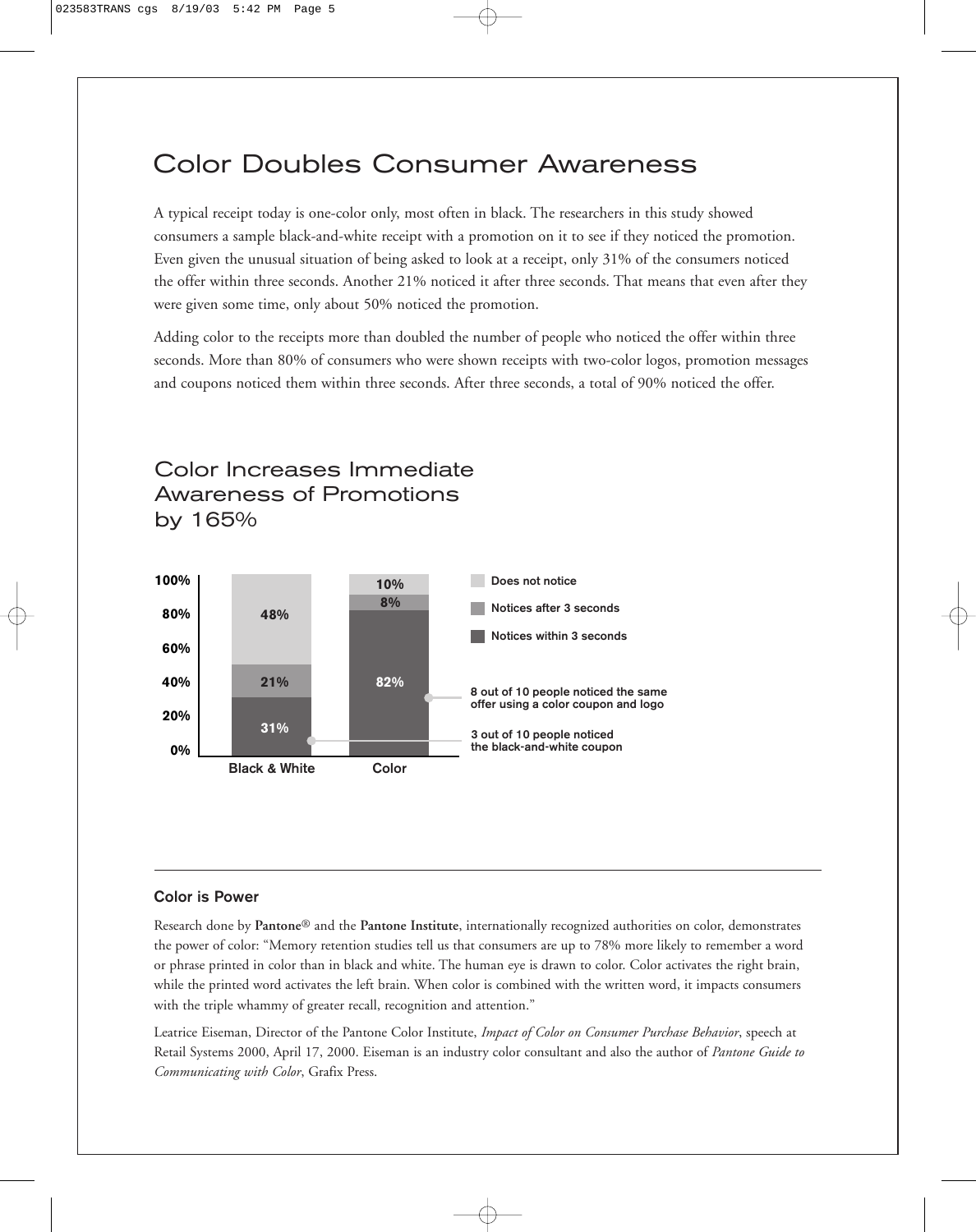# Color Doubles Consumer Awareness

A typical receipt today is one-color only, most often in black. The researchers in this study showed consumers a sample black-and-white receipt with a promotion on it to see if they noticed the promotion. Even given the unusual situation of being asked to look at a receipt, only 31% of the consumers noticed the offer within three seconds. Another 21% noticed it after three seconds. That means that even after they were given some time, only about 50% noticed the promotion.

Adding color to the receipts more than doubled the number of people who noticed the offer within three seconds. More than 80% of consumers who were shown receipts with two-color logos, promotion messages and coupons noticed them within three seconds. After three seconds, a total of 90% noticed the offer.



Color Increases Immediate Awareness of Promotions

## **Color is Power**

by 165%

Research done by **Pantone**® and the **Pantone Institute**, internationally recognized authorities on color, demonstrates the power of color: "Memory retention studies tell us that consumers are up to 78% more likely to remember a word or phrase printed in color than in black and white. The human eye is drawn to color. Color activates the right brain, while the printed word activates the left brain. When color is combined with the written word, it impacts consumers with the triple whammy of greater recall, recognition and attention."

Leatrice Eiseman, Director of the Pantone Color Institute, *Impact of Color on Consumer Purchase Behavior*, speech at Retail Systems 2000, April 17, 2000. Eiseman is an industry color consultant and also the author of *Pantone Guide to Communicating with Color*, Grafix Press.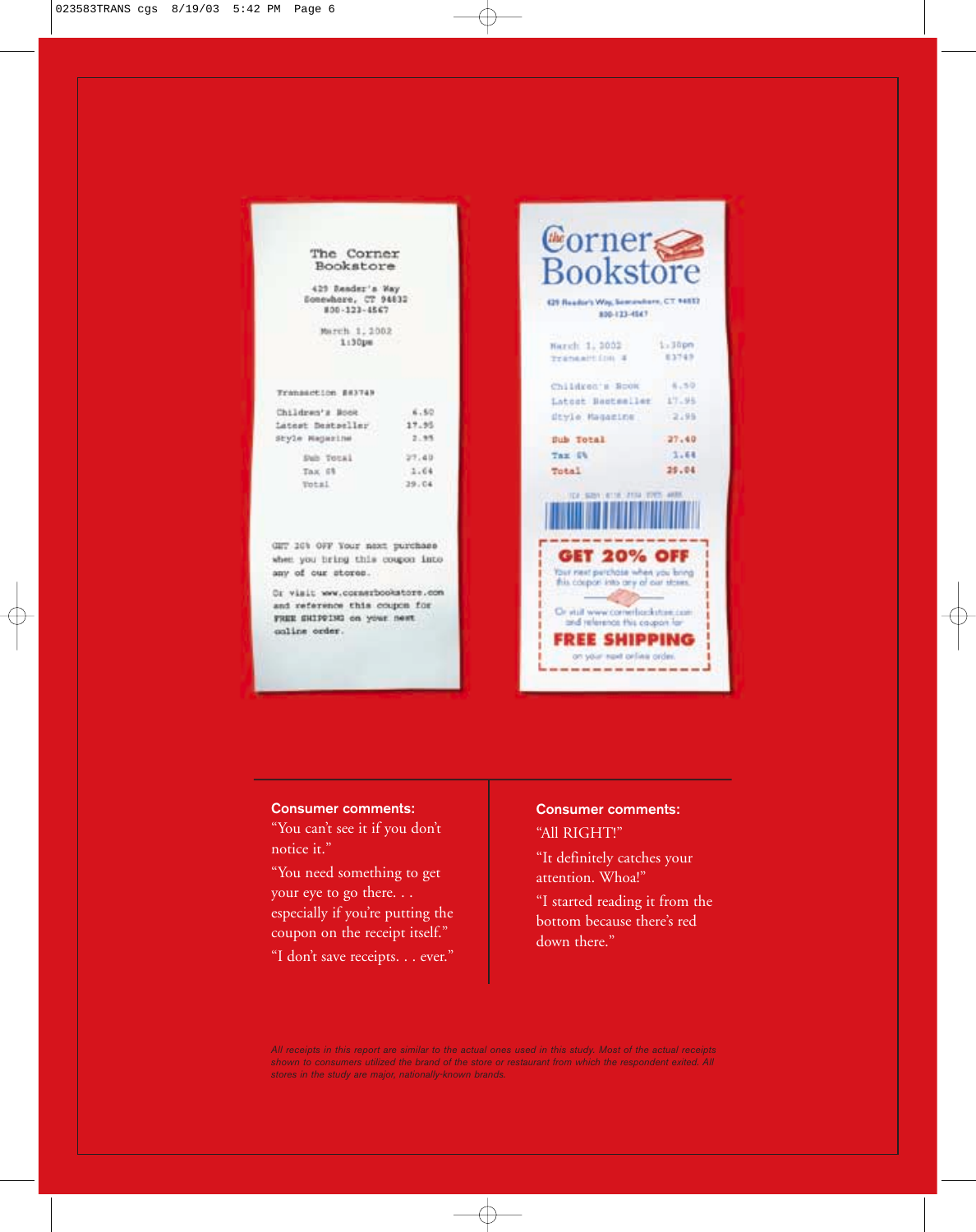| The Corner |
|------------|
| Bookstore  |

429 Bender's Way Sonewhere, CT 94632 800-123-4567

> March 1, 2002 1:30pm

### Transaction ##3749

| Children's Book  | 6.50     |
|------------------|----------|
| Latest Destatler | 17.95    |
| Style Hagazine   | 2.95     |
| Sub Total        | 27.40    |
| Tax 6%           | 3.64     |
| Total:           | $-29.04$ |

GIT 10% OFF Your most purchase when you bring this coupon into any of our stores.

Or visit www.corssrbookstore.com and reference this coupon for FREE SHIPPING on your next coline order.

Corner GS Reader's Way, Sementers, CT 14532 800-123-4647 Narch 1, 2002  $1.3$ opn 83749 Transaition 4 Children's Book 6.50 Latost Bastesller 17.95 dtyle Magazine  $2.95$  $37.40$ Sub Total  $3.64$ Tax Ch 29.04 Total CA SUBA VIETNA LATER (VONT) **GET 20% OFF** Tour rast perchase when you bring Or visit www.correntes.kutse.com and relevance this coupon for **FREE SHIPPING** on your rent orline order. 

## **Consumer comments:**

"You can't see it if you don't notice it."

"You need something to get your eye to go there. . . especially if you're putting the coupon on the receipt itself."

"I don't save receipts. . . ever."

## **Consumer comments:**

## "All RIGHT!"

"It definitely catches your attention. Whoa!"

"I started reading it from the bottom because there's red down there.'

*All receipts in this report are similar to the actual ones used in this study. Most of the actual receipts shown to consumers utilized the brand of the store or restaurant from which the respondent exited. All stores in the study are major, nationally-known brands.*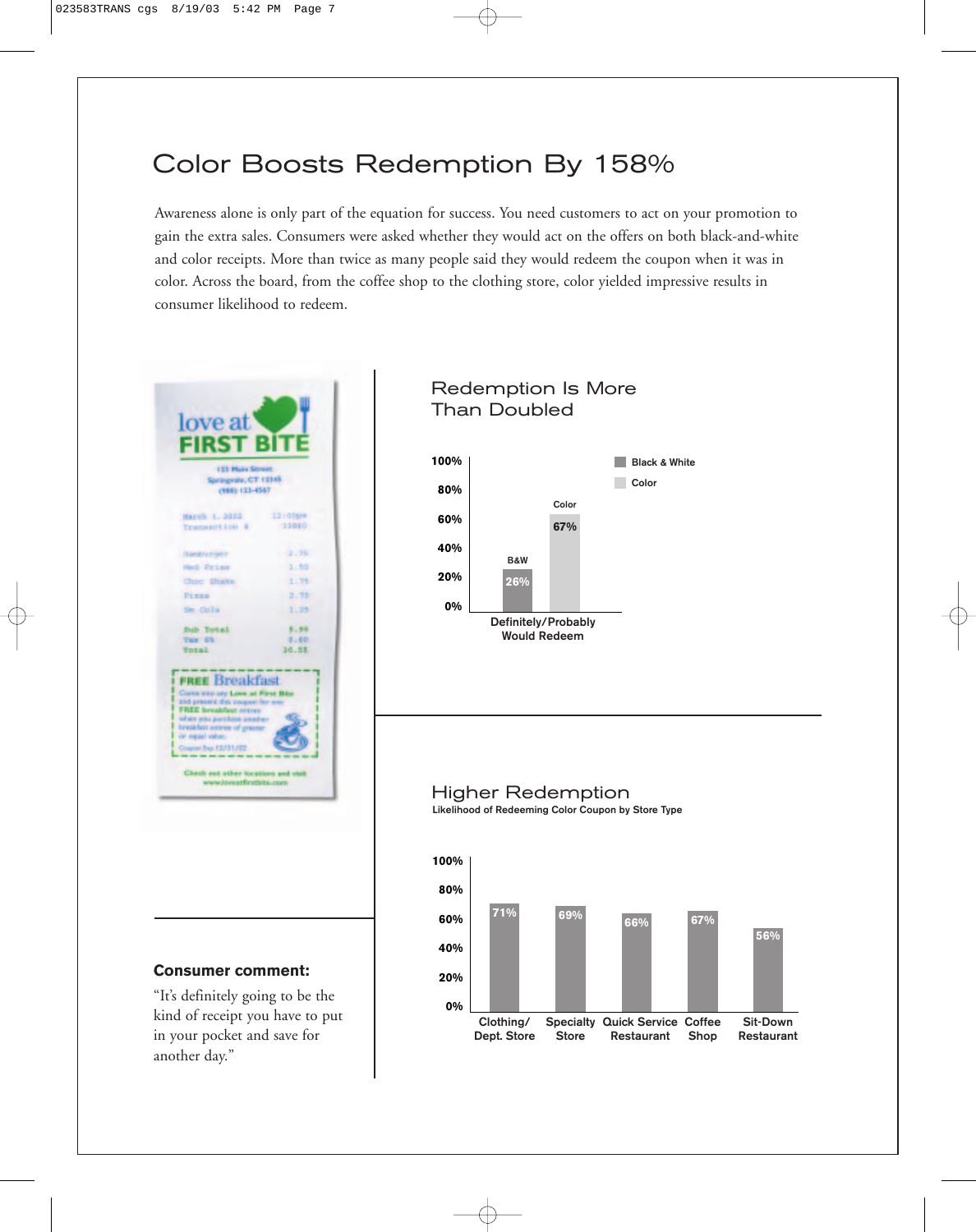# Color Boosts Redemption By 158%

Awareness alone is only part of the equation for success. You need customers to act on your promotion to gain the extra sales. Consumers were asked whether they would act on the offers on both black-and-white and color receipts. More than twice as many people said they would redeem the coupon when it was in color. Across the board, from the coffee shop to the clothing store, color yielded impressive results in consumer likelihood to redeem.

| <b>FIRST BITE</b><br><b>I'll Maly Street</b><br>sciegeate; CT 12345<br>(1988) 123-4567                                                                                                                                               |                  |  |
|--------------------------------------------------------------------------------------------------------------------------------------------------------------------------------------------------------------------------------------|------------------|--|
| Harvik 1, 2012<br>Transaction 1                                                                                                                                                                                                      | 12:00pm<br>33860 |  |
| Bankruman in                                                                                                                                                                                                                         | $-2.36$          |  |
| Hed Fries                                                                                                                                                                                                                            | 1.50             |  |
| <b>Chipe Blashes</b>                                                                                                                                                                                                                 | 1.75             |  |
| Piras                                                                                                                                                                                                                                | 2.70             |  |
| Sm Orliz                                                                                                                                                                                                                             | 1.25             |  |
| <b>Sub Total</b>                                                                                                                                                                                                                     | 5.58             |  |
| THE CL<br><b>Total</b>                                                                                                                                                                                                               | 8180<br>10.58    |  |
| <b>FREE Breakfast</b><br>Corne was say Love at First<br>and present this coupon fi<br><b>FREE</b> breakfast ectres<br>when you purchase a<br>breakfast entree of gre<br>or equal value.<br>Coupon Bus 12/31/92<br>Check out other to | lorn and visit   |  |

## **Consumer comment:**

"It's definitely going to be the kind of receipt you have to put in your pocket and save for another day."

## Redemption Is More Than Doubled



## Higher Redemption **Likelihood of Redeeming Color Coupon by Store Type**

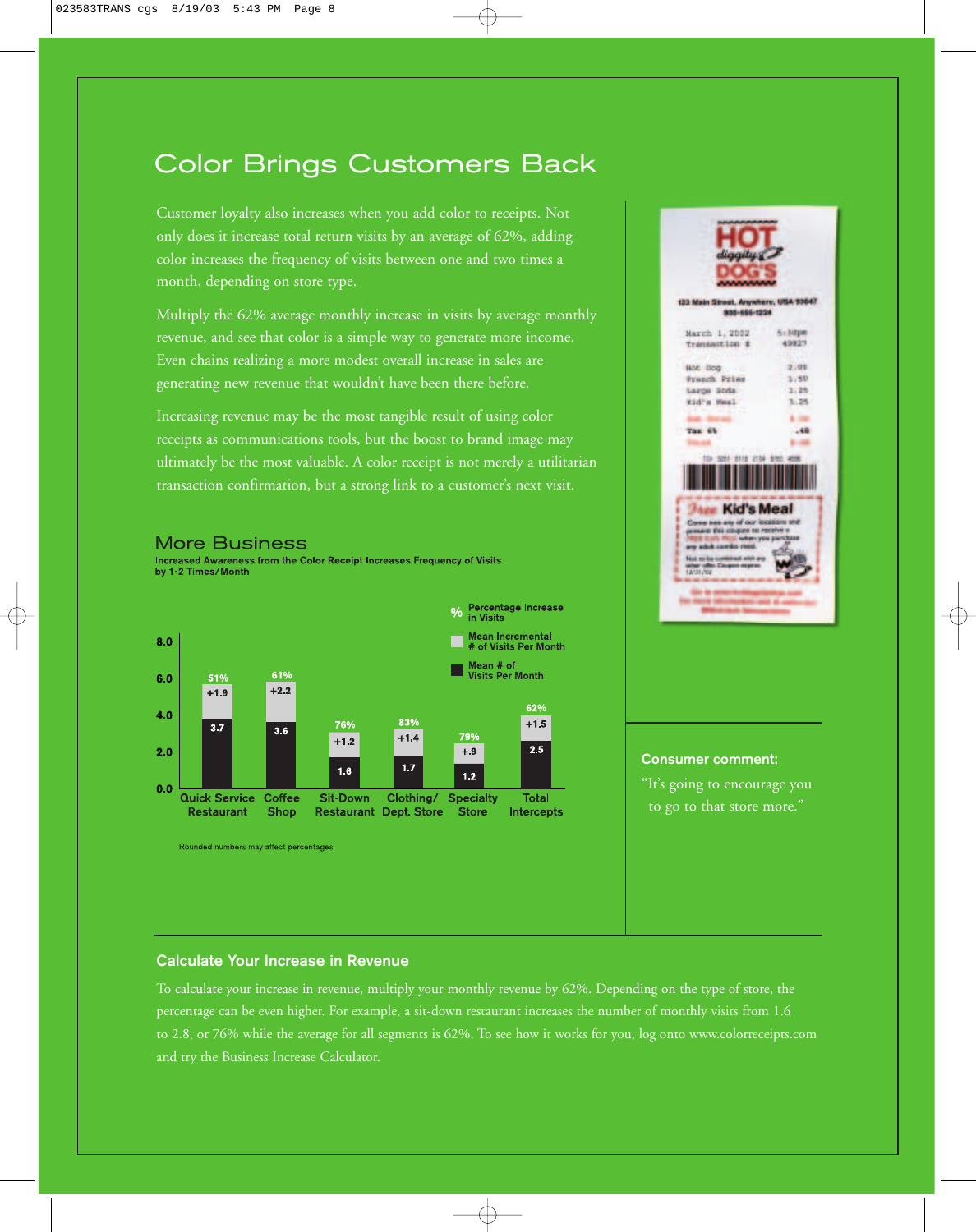# Color Brings Customers Back

Customer loyalty also increases when you add color to receipts. Not only does it increase total return visits by an average of 62%, adding color increases the frequency of visits between one and two times a month, depending on store type.

Multiply the 62% average monthly increase in visits by average monthly revenue, and see that color is a simple way to generate more income. Even chains realizing a more modest overall increase in sales are generating new revenue that wouldn't have been there before.

Increasing revenue may be the most tangible result of using color receipts as communications tools, but the boost to brand image may ultimately be the most valuable. A color receipt is not merely a utilitarian transaction confirmation, but a strong link to a customer's next visit.

#### % Percentage Increase<br>% in Visits Mean Incremental<br># of Visits Per Month  $8.0$ Mean # of<br>Visits Per Month 61%  $6.0$ 51%  $+1.9$  $+2.2$ 62% 4.0 83% 76%  $+1.5$  $3.7$  $3.6$ 79%  $+1.4$  $+1.2$  $2.5$  $2.0$  $+.9$  $1.7$  $1.6$  $1.2$  $0.0$ **Quick Service Coffee** Sit-Down Clothing/ Specialty Total **Restaurant Dept. Store Restaurant Shop Store** Intercepts

Increased Awareness from the Color Receipt Increases Frequency of Visits

Rounded numbers may affect percentages.

**More Business** 

by 1-2 Times/Month



## **Consumer comment:**

"It's going to encourage you to go to that store more."

## **Calculate Your Increase in Revenue**

To calculate your increase in revenue, multiply your monthly revenue by 62%. Depending on the type of store, the percentage can be even higher. For example, a sit-down restaurant increases the number of monthly visits from 1.6 to 2.8, or 76% while the average for all segments is 62%. To see how it works for you, log onto www.colorreceipts.com and try the Business Increase Calculator.